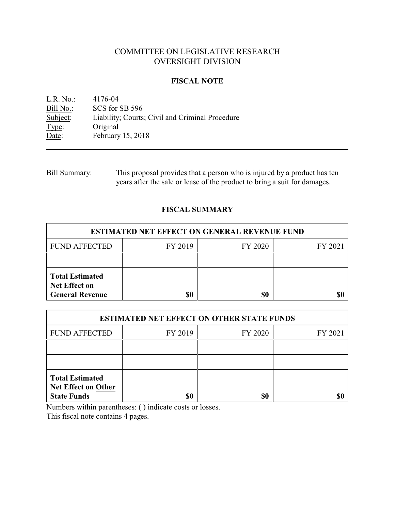# COMMITTEE ON LEGISLATIVE RESEARCH OVERSIGHT DIVISION

#### **FISCAL NOTE**

<u>L.R. No.</u>: 4176-04<br>Bill No.: SCS for 9 Bill No.: SCS for SB 596<br>Subject: Liability; Courts Subject: Liability; Courts; Civil and Criminal Procedure<br>Type: Original Type: Original<br>Date: February February 15, 2018

| Bill Summary: | This proposal provides that a person who is injured by a product has ten  |
|---------------|---------------------------------------------------------------------------|
|               | years after the sale or lease of the product to bring a suit for damages. |

## **FISCAL SUMMARY**

| <b>ESTIMATED NET EFFECT ON GENERAL REVENUE FUND</b>                      |         |         |         |  |
|--------------------------------------------------------------------------|---------|---------|---------|--|
| <b>FUND AFFECTED</b>                                                     | FY 2019 | FY 2020 | FY 2021 |  |
|                                                                          |         |         |         |  |
| <b>Total Estimated</b><br><b>Net Effect on</b><br><b>General Revenue</b> | \$0     | \$0     |         |  |

| <b>ESTIMATED NET EFFECT ON OTHER STATE FUNDS</b>                           |         |         |         |  |
|----------------------------------------------------------------------------|---------|---------|---------|--|
| <b>FUND AFFECTED</b>                                                       | FY 2019 | FY 2020 | FY 2021 |  |
|                                                                            |         |         |         |  |
|                                                                            |         |         |         |  |
| <b>Total Estimated</b><br><b>Net Effect on Other</b><br><b>State Funds</b> | \$0     | \$0     |         |  |

Numbers within parentheses: ( ) indicate costs or losses.

This fiscal note contains 4 pages.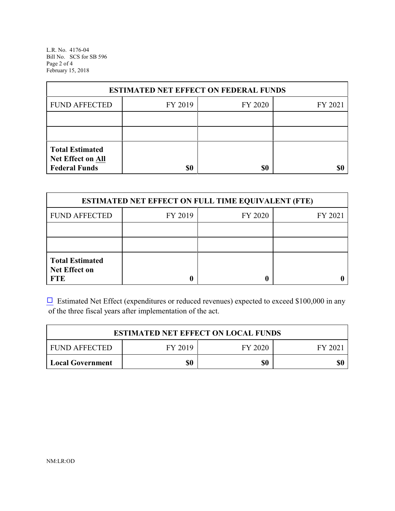L.R. No. 4176-04 Bill No. SCS for SB 596 Page 2 of 4 February 15, 2018

| <b>ESTIMATED NET EFFECT ON FEDERAL FUNDS</b>                        |         |         |         |  |
|---------------------------------------------------------------------|---------|---------|---------|--|
| <b>FUND AFFECTED</b>                                                | FY 2019 | FY 2020 | FY 2021 |  |
|                                                                     |         |         |         |  |
|                                                                     |         |         |         |  |
| <b>Total Estimated</b><br>Net Effect on All<br><b>Federal Funds</b> | \$0     | \$0     |         |  |

| <b>ESTIMATED NET EFFECT ON FULL TIME EQUIVALENT (FTE)</b>    |         |         |         |  |
|--------------------------------------------------------------|---------|---------|---------|--|
| <b>FUND AFFECTED</b>                                         | FY 2019 | FY 2020 | FY 2021 |  |
|                                                              |         |         |         |  |
|                                                              |         |         |         |  |
| <b>Total Estimated</b><br><b>Net Effect on</b><br><b>FTE</b> |         |         |         |  |

 $\Box$  Estimated Net Effect (expenditures or reduced revenues) expected to exceed \$100,000 in any of the three fiscal years after implementation of the act.

| <b>ESTIMATED NET EFFECT ON LOCAL FUNDS</b> |         |         |        |
|--------------------------------------------|---------|---------|--------|
| <b>FUND AFFECTED</b>                       | FY 2019 | FY 2020 | FY 202 |
| Local Government                           | \$0     | \$0     | \$0    |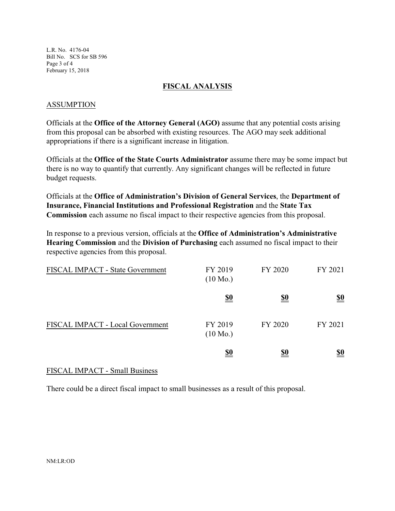L.R. No. 4176-04 Bill No. SCS for SB 596 Page 3 of 4 February 15, 2018

### **FISCAL ANALYSIS**

#### ASSUMPTION

Officials at the **Office of the Attorney General (AGO)** assume that any potential costs arising from this proposal can be absorbed with existing resources. The AGO may seek additional appropriations if there is a significant increase in litigation.

Officials at the **Office of the State Courts Administrator** assume there may be some impact but there is no way to quantify that currently. Any significant changes will be reflected in future budget requests.

Officials at the **Office of Administration's Division of General Services**, the **Department of Insurance, Financial Institutions and Professional Registration** and the **State Tax Commission** each assume no fiscal impact to their respective agencies from this proposal.

In response to a previous version, officials at the **Office of Administration's Administrative Hearing Commission** and the **Division of Purchasing** each assumed no fiscal impact to their respective agencies from this proposal.

| FISCAL IMPACT - State Government | FY 2019<br>$(10 \text{ Mo.})$ | FY 2020    | FY 2021    |
|----------------------------------|-------------------------------|------------|------------|
|                                  | <u>\$0</u>                    | <u>\$0</u> | <u>\$0</u> |
| FISCAL IMPACT - Local Government | FY 2019<br>$(10 \text{ Mo.})$ | FY 2020    | FY 2021    |
|                                  | <u>\$0</u>                    | <u>\$0</u> | <u>\$0</u> |

## FISCAL IMPACT - Small Business

There could be a direct fiscal impact to small businesses as a result of this proposal.